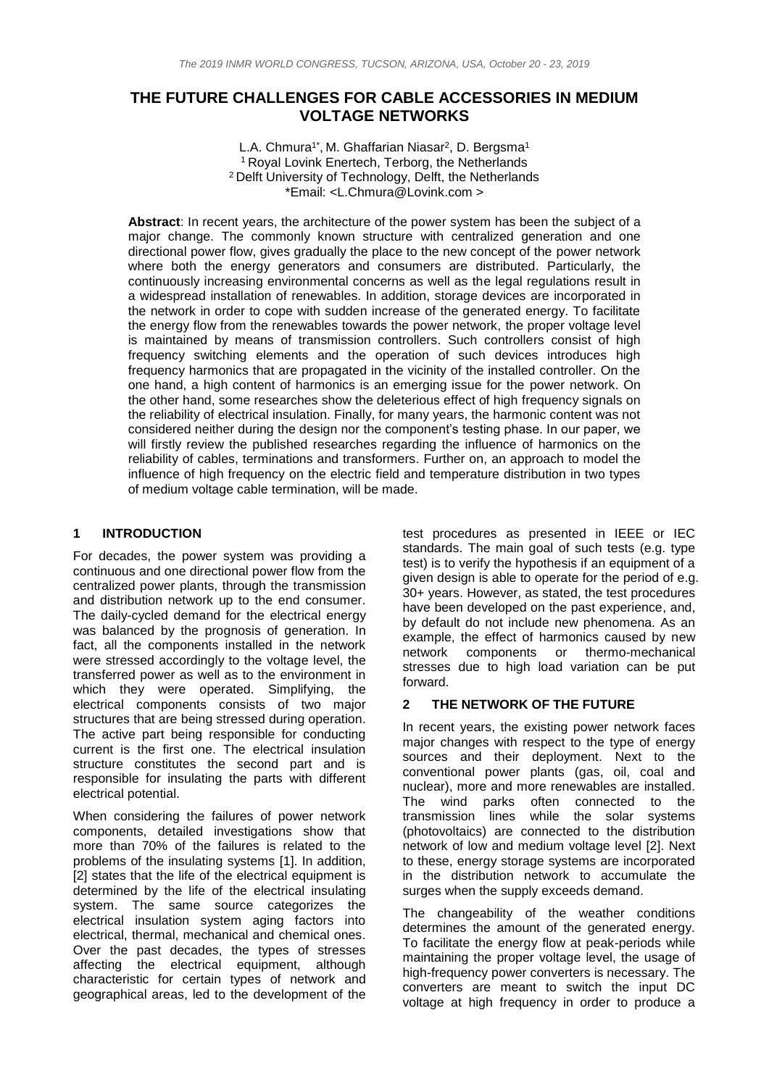## **THE FUTURE CHALLENGES FOR CABLE ACCESSORIES IN MEDIUM VOLTAGE NETWORKS**

L.A. Chmura<sup>1\*</sup>, M. Ghaffarian Niasar<sup>2</sup>, D. Bergsma<sup>1</sup> <sup>1</sup> Royal Lovink Enertech, Terborg, the Netherlands <sup>2</sup> Delft University of Technology, Delft, the Netherlands \*Email: <L.Chmura@Lovink.com >

**Abstract**: In recent years, the architecture of the power system has been the subject of a major change. The commonly known structure with centralized generation and one directional power flow, gives gradually the place to the new concept of the power network where both the energy generators and consumers are distributed. Particularly, the continuously increasing environmental concerns as well as the legal regulations result in a widespread installation of renewables. In addition, storage devices are incorporated in the network in order to cope with sudden increase of the generated energy. To facilitate the energy flow from the renewables towards the power network, the proper voltage level is maintained by means of transmission controllers. Such controllers consist of high frequency switching elements and the operation of such devices introduces high frequency harmonics that are propagated in the vicinity of the installed controller. On the one hand, a high content of harmonics is an emerging issue for the power network. On the other hand, some researches show the deleterious effect of high frequency signals on the reliability of electrical insulation. Finally, for many years, the harmonic content was not considered neither during the design nor the component's testing phase. In our paper, we will firstly review the published researches regarding the influence of harmonics on the reliability of cables, terminations and transformers. Further on, an approach to model the influence of high frequency on the electric field and temperature distribution in two types of medium voltage cable termination, will be made.

### **1 INTRODUCTION**

For decades, the power system was providing a continuous and one directional power flow from the centralized power plants, through the transmission and distribution network up to the end consumer. The daily-cycled demand for the electrical energy was balanced by the prognosis of generation. In fact, all the components installed in the network were stressed accordingly to the voltage level, the transferred power as well as to the environment in which they were operated. Simplifying, the electrical components consists of two major structures that are being stressed during operation. The active part being responsible for conducting current is the first one. The electrical insulation structure constitutes the second part and is responsible for insulating the parts with different electrical potential.

When considering the failures of power network components, detailed investigations show that more than 70% of the failures is related to the problems of the insulating systems [\[1\].](#page-3-0) In addition, [\[2\]](#page-3-1) states that the life of the electrical equipment is determined by the life of the electrical insulating system. The same source categorizes the electrical insulation system aging factors into electrical, thermal, mechanical and chemical ones. Over the past decades, the types of stresses affecting the electrical equipment, although characteristic for certain types of network and geographical areas, led to the development of the

test procedures as presented in IEEE or IEC standards. The main goal of such tests (e.g. type test) is to verify the hypothesis if an equipment of a given design is able to operate for the period of e.g. 30+ years. However, as stated, the test procedures have been developed on the past experience, and, by default do not include new phenomena. As an example, the effect of harmonics caused by new network components or thermo-mechanical stresses due to high load variation can be put forward.

### **2 THE NETWORK OF THE FUTURE**

In recent years, the existing power network faces major changes with respect to the type of energy sources and their deployment. Next to the conventional power plants (gas, oil, coal and nuclear), more and more renewables are installed. The wind parks often connected to the transmission lines while the solar systems (photovoltaics) are connected to the distribution network of low and medium voltage level [\[2\].](#page-3-1) Next to these, energy storage systems are incorporated in the distribution network to accumulate the surges when the supply exceeds demand.

The changeability of the weather conditions determines the amount of the generated energy. To facilitate the energy flow at peak-periods while maintaining the proper voltage level, the usage of high-frequency power converters is necessary. The converters are meant to switch the input DC voltage at high frequency in order to produce a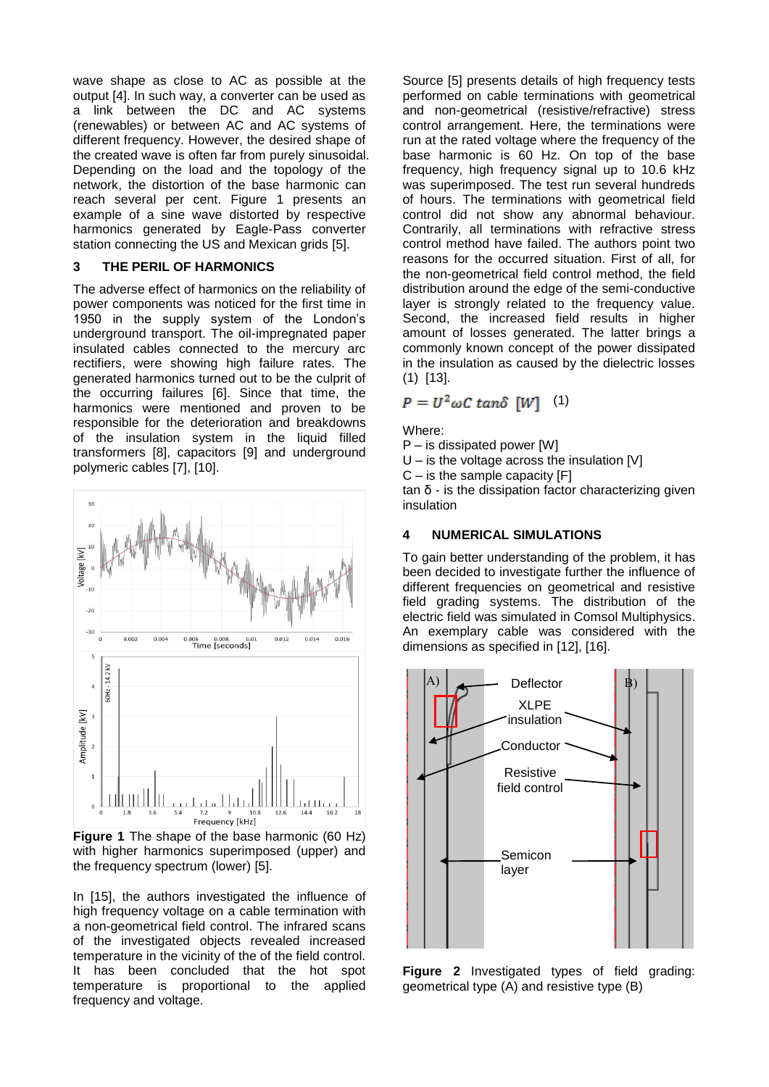wave shape as close to AC as possible at the output [\[4\].](#page-3-2) In such way, a converter can be used as a link between the DC and AC systems (renewables) or between AC and AC systems of different frequency. However, the desired shape of the created wave is often far from purely sinusoidal. Depending on the load and the topology of the network, the distortion of the base harmonic can reach several per cent. [Figure 1](#page-1-0) presents an example of a sine wave distorted by respective harmonics generated by Eagle-Pass converter station connecting the US and Mexican grids [\[5\].](#page-3-3)

### **3 THE PERIL OF HARMONICS**

The adverse effect of harmonics on the reliability of power components was noticed for the first time in 1950 in the supply system of the London's underground transport. The oil-impregnated paper insulated cables connected to the mercury arc rectifiers, were showing high failure rates. The generated harmonics turned out to be the culprit of the occurring failures [\[6\].](#page-3-4) Since that time, the harmonics were mentioned and proven to be responsible for the deterioration and breakdowns of the insulation system in the liquid filled transformers [\[8\],](#page-3-5) capacitors [\[9\]](#page-3-6) and underground polymeric cables [\[7\],](#page-3-7) [\[10\].](#page-3-8)



<span id="page-1-0"></span>**Figure 1** The shape of the base harmonic (60 Hz) with higher harmonics superimposed (upper) and the frequency spectrum (lower) [\[5\].](#page-3-3)

In [\[15\],](#page-3-9) the authors investigated the influence of high frequency voltage on a cable termination with a non-geometrical field control. The infrared scans of the investigated objects revealed increased temperature in the vicinity of the of the field control. It has been concluded that the hot spot temperature is proportional to the applied frequency and voltage.

Source [\[5\]](#page-3-3) presents details of high frequency tests performed on cable terminations with geometrical and non-geometrical (resistive/refractive) stress control arrangement. Here, the terminations were run at the rated voltage where the frequency of the base harmonic is 60 Hz. On top of the base frequency, high frequency signal up to 10.6 kHz was superimposed. The test run several hundreds of hours. The terminations with geometrical field control did not show any abnormal behaviour. Contrarily, all terminations with refractive stress control method have failed. The authors point two reasons for the occurred situation. First of all, for the non-geometrical field control method, the field distribution around the edge of the semi-conductive layer is strongly related to the frequency value. Second, the increased field results in higher amount of losses generated. The latter brings a commonly known concept of the power dissipated in the insulation as caused by the dielectric losses (1) [\[13\].](#page-3-10)

# $P = U^2 \omega C \tan\delta$  [W] (1)

Where:

P – is dissipated power [W]

U – is the voltage across the insulation [V]

 $C -$  is the sample capacity  $[F]$ 

tan δ - is the dissipation factor characterizing given insulation

## **4 NUMERICAL SIMULATIONS**

To gain better understanding of the problem, it has been decided to investigate further the influence of different frequencies on geometrical and resistive field grading systems. The distribution of the electric field was simulated in Comsol Multiphysics. An exemplary cable was considered with the dimensions as specified in [\[12\],](#page-3-11) [\[16\].](#page-3-12)



<span id="page-1-1"></span>**Figure 2** Investigated types of field grading: geometrical type (A) and resistive type (B)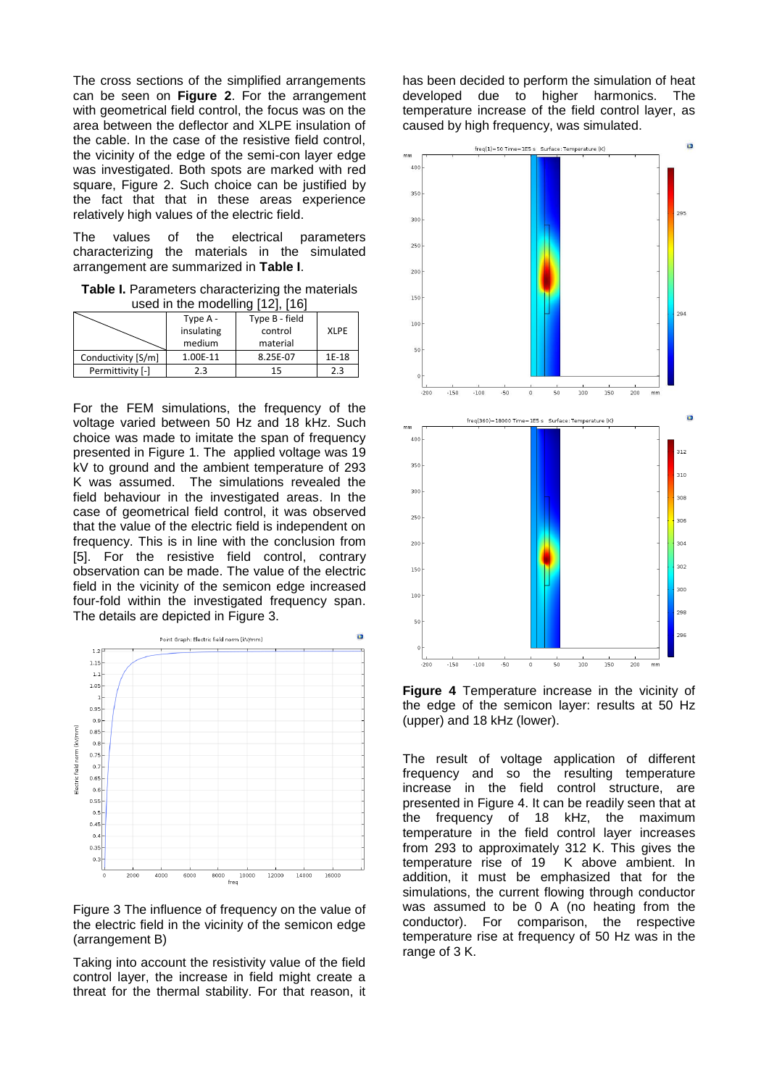The cross sections of the simplified arrangements can be seen on **[Figure 2](#page-1-1)**. For the arrangement with geometrical field control, the focus was on the area between the deflector and XLPE insulation of the cable. In the case of the resistive field control, the vicinity of the edge of the semi-con layer edge was investigated. Both spots are marked with red square, [Figure 2.](#page-1-1) Such choice can be justified by the fact that that in these areas experience relatively high values of the electric field.

The values of the electrical parameters characterizing the materials in the simulated arrangement are summarized in **[Table I](#page-2-0)**.

<span id="page-2-0"></span>**Table I.** Parameters characterizing the materials used in the modelling [\[12\],](#page-3-11) [\[16\]](#page-3-12)

|                    | Type A -   | Type B - field |             |
|--------------------|------------|----------------|-------------|
|                    | insulating | control        | <b>XLPE</b> |
|                    | medium     | material       |             |
| Conductivity [S/m] | 1.00E-11   | 8.25E-07       | 1E-18       |
| Permittivity [-]   | 2.3        | 15             | 2.3         |

For the FEM simulations, the frequency of the voltage varied between 50 Hz and 18 kHz. Such choice was made to imitate the span of frequency presented in Figure 1. The applied voltage was 19 kV to ground and the ambient temperature of 293 K was assumed. The simulations revealed the field behaviour in the investigated areas. In the case of geometrical field control, it was observed that the value of the electric field is independent on frequency. This is in line with the conclusion from [\[5\].](#page-3-3) For the resistive field control, contrary observation can be made. The value of the electric field in the vicinity of the semicon edge increased four-fold within the investigated frequency span. The details are depicted in [Figure 3.](#page-2-1)



<span id="page-2-1"></span>Figure 3 The influence of frequency on the value of the electric field in the vicinity of the semicon edge (arrangement B)

Taking into account the resistivity value of the field control layer, the increase in field might create a threat for the thermal stability. For that reason, it has been decided to perform the simulation of heat developed due to higher harmonics. The temperature increase of the field control layer, as caused by high frequency, was simulated.



<span id="page-2-2"></span>**Figure 4** Temperature increase in the vicinity of the edge of the semicon layer: results at 50 Hz (upper) and 18 kHz (lower).

The result of voltage application of different frequency and so the resulting temperature increase in the field control structure, are presented in [Figure 4.](#page-2-2) It can be readily seen that at the frequency of 18 kHz, the maximum temperature in the field control layer increases from 293 to approximately 312 K. This gives the temperature rise of 19 K above ambient. In addition, it must be emphasized that for the simulations, the current flowing through conductor was assumed to be 0 A (no heating from the conductor). For comparison, the respective temperature rise at frequency of 50 Hz was in the range of 3 K.